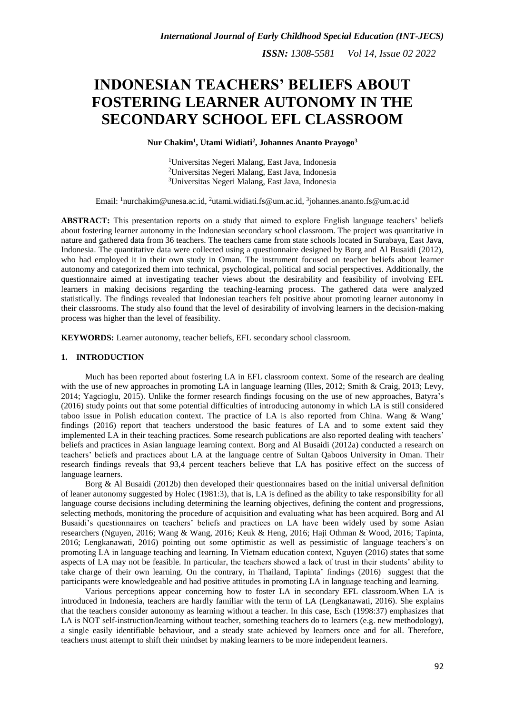# **INDONESIAN TEACHERS' BELIEFS ABOUT FOSTERING LEARNER AUTONOMY IN THE SECONDARY SCHOOL EFL CLASSROOM**

**Nur Chakim<sup>1</sup> , Utami Widiati<sup>2</sup> , Johannes Ananto Prayogo<sup>3</sup>**

<sup>1</sup>Universitas Negeri Malang, East Java, Indonesia <sup>2</sup>Universitas Negeri Malang, East Java, Indonesia <sup>3</sup>Universitas Negeri Malang, East Java, Indonesia

Email: <sup>1</sup>[nurchakim@unesa.ac.id,](mailto:nurchakim@unesa.ac.id) <sup>2</sup>[utami.widiati.fs@um.ac.id,](mailto:utami.widiati.fs@um.ac.id) <sup>3</sup>[johannes.ananto.fs@um.ac.id](mailto:johannes.ananto.fs@um.ac.id)

**ABSTRACT:** This presentation reports on a study that aimed to explore English language teachers' beliefs about fostering learner autonomy in the Indonesian secondary school classroom. The project was quantitative in nature and gathered data from 36 teachers. The teachers came from state schools located in Surabaya, East Java, Indonesia. The quantitative data were collected using a questionnaire designed by Borg and Al Busaidi (2012), who had employed it in their own study in Oman. The instrument focused on teacher beliefs about learner autonomy and categorized them into technical, psychological, political and social perspectives. Additionally, the questionnaire aimed at investigating teacher views about the desirability and feasibility of involving EFL learners in making decisions regarding the teaching-learning process. The gathered data were analyzed statistically. The findings revealed that Indonesian teachers felt positive about promoting learner autonomy in their classrooms. The study also found that the level of desirability of involving learners in the decision-making process was higher than the level of feasibility.

**KEYWORDS:** Learner autonomy, teacher beliefs, EFL secondary school classroom.

## **1. INTRODUCTION**

Much has been reported about fostering LA in EFL classroom context. Some of the research are dealing with the use of new approaches in promoting LA in language learning (Illes, 2012; Smith & Craig, 2013; Levy, 2014; Yagcioglu, 2015). Unlike the former research findings focusing on the use of new approaches, Batyra's (2016) study points out that some potential difficulties of introducing autonomy in which LA is still considered taboo issue in Polish education context. The practice of LA is also reported from China. Wang & Wang' findings (2016) report that teachers understood the basic features of LA and to some extent said they implemented LA in their teaching practices. Some research publications are also reported dealing with teachers' beliefs and practices in Asian language learning context. Borg and Al Busaidi (2012a) conducted a research on teachers' beliefs and practices about LA at the language centre of Sultan Qaboos University in Oman. Their research findings reveals that 93,4 percent teachers believe that LA has positive effect on the success of language learners.

Borg & Al Busaidi (2012b) then developed their questionnaires based on the initial universal definition of leaner autonomy suggested by Holec (1981:3), that is, LA is defined as the ability to take responsibility for all language course decisions including determining the learning objectives, defining the content and progressions, selecting methods, monitoring the procedure of acquisition and evaluating what has been acquired. Borg and Al Busaidi's questionnaires on teachers' beliefs and practices on LA have been widely used by some Asian researchers (Nguyen, 2016; Wang & Wang, 2016; Keuk & Heng, 2016; Haji Othman & Wood, 2016; Tapinta, 2016; Lengkanawati, 2016) pointing out some optimistic as well as pessimistic of language teachers's on promoting LA in language teaching and learning. In Vietnam education context, Nguyen (2016) states that some aspects of LA may not be feasible. In particular, the teachers showed a lack of trust in their students' ability to take charge of their own learning. On the contrary, in Thailand, Tapinta' findings (2016) suggest that the participants were knowledgeable and had positive attitudes in promoting LA in language teaching and learning.

Various perceptions appear concerning how to foster LA in secondary EFL classroom.When LA is introduced in Indonesia, teachers are hardly familiar with the term of LA (Lengkanawati, 2016). She explains that the teachers consider autonomy as learning without a teacher. In this case, Esch (1998:37) emphasizes that LA is NOT self-instruction/learning without teacher, something teachers do to learners (e.g. new methodology), a single easily identifiable behaviour, and a steady state achieved by learners once and for all. Therefore, teachers must attempt to shift their mindset by making learners to be more independent learners.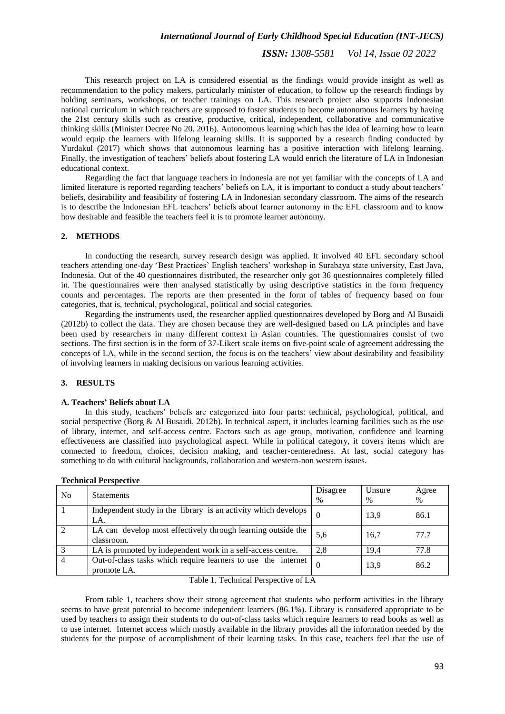## *International Journal of Early Childhood Special Education (INT-JECS)*

*ISSN: 1308-5581 Vol 14, Issue 02 2022*

This research project on LA is considered essential as the findings would provide insight as well as recommendation to the policy makers, particularly minister of education, to follow up the research findings by holding seminars, workshops, or teacher trainings on LA. This research project also supports Indonesian national curriculum in which teachers are supposed to foster students to become autonomous learners by having the 21st century skills such as creative, productive, critical, independent, collaborative and communicative thinking skills (Minister Decree No 20, 2016). Autonomous learning which has the idea of learning how to learn would equip the learners with lifelong learning skills. It is supported by a research finding conducted by Yurdakul (2017) which shows that autonomous learning has a positive interaction with lifelong learning. Finally, the investigation of teachers' beliefs about fostering LA would enrich the literature of LA in Indonesian educational context.

Regarding the fact that language teachers in Indonesia are not yet familiar with the concepts of LA and limited literature is reported regarding teachers' beliefs on LA, it is important to conduct a study about teachers' beliefs, desirability and feasibility of fostering LA in Indonesian secondary classroom. The aims of the research is to describe the Indonesian EFL teachers' beliefs about learner autonomy in the EFL classroom and to know how desirable and feasible the teachers feel it is to promote learner autonomy.

# **2. METHODS**

In conducting the research, survey research design was applied. It involved 40 EFL secondary school teachers attending one-day 'Best Practices' English teachers' workshop in Surabaya state university, East Java, Indonesia. Out of the 40 questionnaires distributed, the researcher only got 36 questionnaires completely filled in. The questionnaires were then analysed statistically by using descriptive statistics in the form frequency counts and percentages. The reports are then presented in the form of tables of frequency based on four categories, that is, technical, psychological, political and social categories.

Regarding the instruments used, the researcher applied questionnaires developed by Borg and Al Busaidi (2012b) to collect the data. They are chosen because they are well-designed based on LA principles and have been used by researchers in many different context in Asian countries. The questionnaires consist of two sections. The first section is in the form of 37-Likert scale items on five-point scale of agreement addressing the concepts of LA, while in the second section, the focus is on the teachers' view about desirability and feasibility of involving learners in making decisions on various learning activities.

#### **3. RESULTS**

#### **A. Teachers' Beliefs about LA**

In this study, teachers' beliefs are categorized into four parts: technical, psychological, political, and social perspective (Borg & Al Busaidi, 2012b). In technical aspect, it includes learning facilities such as the use of library, internet, and self-access centre. Factors such as age group, motivation, confidence and learning effectiveness are classified into psychological aspect. While in political category, it covers items which are connected to freedom, choices, decision making, and teacher-centeredness. At last, social category has something to do with cultural backgrounds, collaboration and western-non western issues.

| No | <b>Statements</b>                                                            | Disagree<br>$\frac{0}{0}$ | Unsure<br>$\%$ | Agree<br>$\%$ |
|----|------------------------------------------------------------------------------|---------------------------|----------------|---------------|
|    | Independent study in the library is an activity which develops<br>LA.        |                           | 13.9           | 86.1          |
|    | LA can develop most effectively through learning outside the<br>classroom.   | 5,6                       | 16.7           | 77.7          |
|    | LA is promoted by independent work in a self-access centre.                  | 2.8                       | 19,4           | 77.8          |
| 4  | Out-of-class tasks which require learners to use the internet<br>promote LA. | $\Omega$                  | 13.9           | 86.2          |

| <b>Technical Perspective</b> |  |  |
|------------------------------|--|--|
|------------------------------|--|--|

Table 1. Technical Perspective of LA

From table 1, teachers show their strong agreement that students who perform activities in the library seems to have great potential to become independent learners (86.1%). Library is considered appropriate to be used by teachers to assign their students to do out-of-class tasks which require learners to read books as well as to use internet. Internet access which mostly available in the library provides all the information needed by the students for the purpose of accomplishment of their learning tasks. In this case, teachers feel that the use of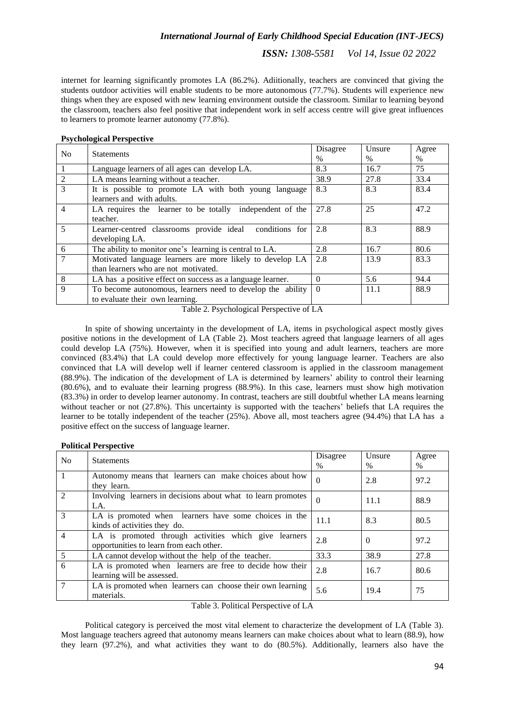# *International Journal of Early Childhood Special Education (INT-JECS)*

*ISSN: 1308-5581 Vol 14, Issue 02 2022*

internet for learning significantly promotes LA (86.2%). Adiitionally, teachers are convinced that giving the students outdoor activities will enable students to be more autonomous (77.7%). Students will experience new things when they are exposed with new learning environment outside the classroom. Similar to learning beyond the classroom, teachers also feel positive that independent work in self access centre will give great influences to learners to promote learner autonomy (77.8%).

| N <sub>0</sub> | <b>Statements</b>                                          | Disagree | Unsure | Agree |
|----------------|------------------------------------------------------------|----------|--------|-------|
|                |                                                            | $\%$     | $\%$   | $\%$  |
| $\vert$ 1      | Language learners of all ages can develop LA.              | 8.3      | 16.7   | 75    |
| $\overline{2}$ | LA means learning without a teacher.                       | 38.9     | 27.8   | 33.4  |
| $\overline{3}$ | It is possible to promote LA with both young language      | 8.3      | 8.3    | 83.4  |
|                | learners and with adults.                                  |          |        |       |
| $\overline{4}$ | LA requires the learner to be totally independent of the   | 27.8     | 25     | 47.2  |
|                | teacher.                                                   |          |        |       |
| 5              | Learner-centred classrooms provide ideal<br>conditions for | 2.8      | 8.3    | 88.9  |
|                | developing LA.                                             |          |        |       |
| 6              | The ability to monitor one's learning is central to LA.    | 2.8      | 16.7   | 80.6  |
| $\overline{7}$ | Motivated language learners are more likely to develop LA  | 2.8      | 13.9   | 83.3  |
|                | than learners who are not motivated.                       |          |        |       |
| 8              | LA has a positive effect on success as a language learner. | $\Omega$ | 5.6    | 94.4  |
| 9              | To become autonomous, learners need to develop the ability | $\Omega$ | 11.1   | 88.9  |
|                | to evaluate their own learning.                            |          |        |       |

## **Psychological Perspective**

Table 2. Psychological Perspective of LA

In spite of showing uncertainty in the development of LA, items in psychological aspect mostly gives positive notions in the development of LA (Table 2). Most teachers agreed that language learners of all ages could develop LA (75%). However, when it is specified into young and adult learners, teachers are more convinced (83.4%) that LA could develop more effectively for young language learner. Teachers are also convinced that LA will develop well if learner centered classroom is applied in the classroom management (88.9%). The indication of the development of LA is determined by learners' ability to control their learning (80.6%), and to evaluate their learning progress (88.9%). In this case, learners must show high motivation (83.3%) in order to develop learner autonomy. In contrast, teachers are still doubtful whether LA means learning without teacher or not (27.8%). This uncertainty is supported with the teachers' beliefs that LA requires the learner to be totally independent of the teacher (25%). Above all, most teachers agree (94.4%) that LA has a positive effect on the success of language learner.

|  | <b>Political Perspective</b> |
|--|------------------------------|
|--|------------------------------|

| N <sub>0</sub> | <b>Statements</b>                                                                                | Disagree      | Unsure        | Agree |
|----------------|--------------------------------------------------------------------------------------------------|---------------|---------------|-------|
|                |                                                                                                  | $\frac{0}{0}$ | $\frac{0}{0}$ | $\%$  |
| $\mathbf{1}$   | Autonomy means that learners can make choices about how<br>they learn.                           | $\Omega$      | 2.8           | 97.2  |
| $\mathfrak{D}$ | Involving learners in decisions about what to learn promotes<br>LA.                              | $\Omega$      | 11.1          | 88.9  |
| $\mathcal{R}$  | LA is promoted when learners have some choices in the<br>kinds of activities they do.            | 11.1          | 8.3           | 80.5  |
| 4              | LA is promoted through activities which give learners<br>opportunities to learn from each other. | 2.8           | $\Omega$      | 97.2  |
| 5              | LA cannot develop without the help of the teacher.                                               | 33.3          | 38.9          | 27.8  |
| 6              | LA is promoted when learners are free to decide how their<br>learning will be assessed.          | 2.8           | 16.7          | 80.6  |
|                | LA is promoted when learners can choose their own learning<br>materials.                         | 5.6           | 19.4          | 75    |

Table 3. Political Perspective of LA

Political category is perceived the most vital element to characterize the development of LA (Table 3). Most language teachers agreed that autonomy means learners can make choices about what to learn (88.9), how they learn (97.2%), and what activities they want to do (80.5%). Additionally, learners also have the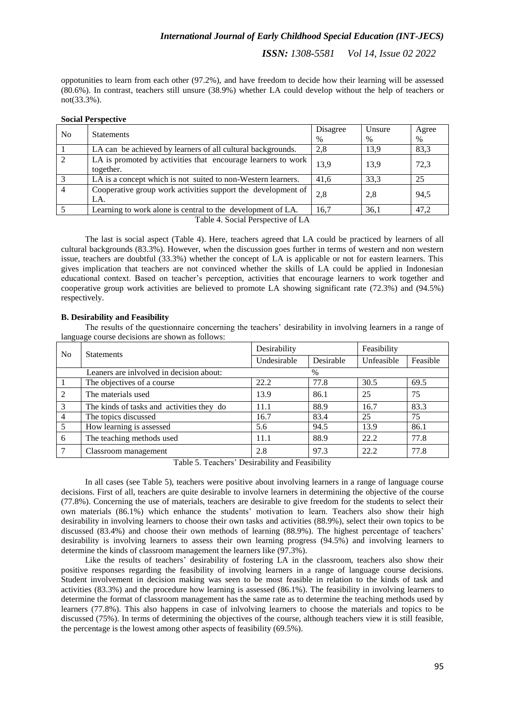# *International Journal of Early Childhood Special Education (INT-JECS)*

*ISSN: 1308-5581 Vol 14, Issue 02 2022*

oppotunities to learn from each other (97.2%), and have freedom to decide how their learning will be assessed (80.6%). In contrast, teachers still unsure (38.9%) whether LA could develop without the help of teachers or not(33.3%).

## **Social Perspective**

| No.                                                       | <b>Statements</b>                                                   | Disagree | Unsure | Agree |  |
|-----------------------------------------------------------|---------------------------------------------------------------------|----------|--------|-------|--|
|                                                           |                                                                     | $\%$     | $\%$   | $\%$  |  |
|                                                           | LA can be achieved by learners of all cultural backgrounds.         | 2.8      | 13.9   | 83,3  |  |
| 2                                                         | LA is promoted by activities that encourage learners to work        | 13.9     | 13.9   | 72,3  |  |
|                                                           | together.                                                           |          |        |       |  |
| $\mathcal{E}$                                             | LA is a concept which is not suited to non-Western learners.        | 41.6     | 33.3   | 25    |  |
| $\overline{4}$                                            | Cooperative group work activities support the development of<br>LA. | 2,8      | 2.8    | 94.5  |  |
|                                                           | Learning to work alone is central to the development of LA.         | 16,7     | 36,1   | 47,2  |  |
| $\mathbf{m}$ is a $\mathbf{m}$ in the set of $\mathbf{m}$ |                                                                     |          |        |       |  |

Table 4. Social Perspective of LA

The last is social aspect (Table 4). Here, teachers agreed that LA could be practiced by learners of all cultural backgrounds (83.3%). However, when the discussion goes further in terms of western and non western issue, teachers are doubtful (33.3%) whether the concept of LA is applicable or not for eastern learners. This gives implication that teachers are not convinced whether the skills of LA could be applied in Indonesian educational context. Based on teacher's perception, activities that encourage learners to work together and cooperative group work activities are believed to promote LA showing significant rate (72.3%) and (94.5%) respectively.

## **B. Desirability and Feasibility**

The results of the questionnaire concerning the teachers' desirability in involving learners in a range of language course decisions are shown as follows:

| No                                       | <b>Statements</b>                         | Desirability |           | Feasibility |          |
|------------------------------------------|-------------------------------------------|--------------|-----------|-------------|----------|
|                                          |                                           | Undesirable  | Desirable | Unfeasible  | Feasible |
| Leaners are inlvolved in decision about: |                                           |              | $\%$      |             |          |
|                                          | The objectives of a course                | 22.2         | 77.8      | 30.5        | 69.5     |
| 2                                        | The materials used                        | 13.9         | 86.1      | 25          | 75       |
| 3                                        | The kinds of tasks and activities they do | 11.1         | 88.9      | 16.7        | 83.3     |
| $\overline{4}$                           | The topics discussed                      | 16.7         | 83.4      | 25          | 75       |
| $\overline{5}$                           | How learning is assessed                  | 5.6          | 94.5      | 13.9        | 86.1     |
| 6                                        | The teaching methods used                 | 11.1         | 88.9      | 22.2        | 77.8     |
| 7                                        | Classroom management                      | 2.8          | 97.3      | 22.2        | 77.8     |

Table 5. Teachers' Desirability and Feasibility

In all cases (see Table 5), teachers were positive about involving learners in a range of language course decisions. First of all, teachers are quite desirable to involve learners in determining the objective of the course (77.8%). Concerning the use of materials, teachers are desirable to give freedom for the students to select their own materials (86.1%) which enhance the students' motivation to learn. Teachers also show their high desirability in involving learners to choose their own tasks and activities (88.9%), select their own topics to be discussed (83.4%) and choose their own methods of learning (88.9%). The highest percentage of teachers' desirability is involving learners to assess their own learning progress (94.5%) and involving learners to determine the kinds of classroom management the learners like (97.3%).

Like the results of teachers' desirability of fostering LA in the classroom, teachers also show their positive responses regarding the feasibility of involving learners in a range of language course decisions. Student involvement in decision making was seen to be most feasible in relation to the kinds of task and activities (83.3%) and the procedure how learning is assessed (86.1%). The feasibility in involving learners to determine the format of classroom management has the same rate as to determine the teaching methods used by learners (77.8%). This also happens in case of inlvolving learners to choose the materials and topics to be discussed (75%). In terms of determining the objectives of the course, although teachers view it is still feasible, the percentage is the lowest among other aspects of feasibility (69.5%).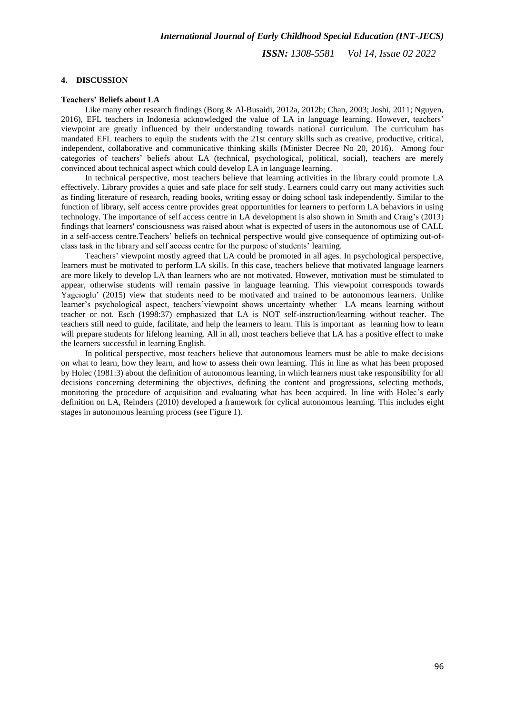## **4. DISCUSSION**

## **Teachers' Beliefs about LA**

Like many other research findings (Borg & Al-Busaidi, 2012a, 2012b; Chan, 2003; Joshi, 2011; Nguyen, 2016), EFL teachers in Indonesia acknowledged the value of LA in language learning. However, teachers' viewpoint are greatly influenced by their understanding towards national curriculum. The curriculum has mandated EFL teachers to equip the students with the 21st century skills such as creative, productive, critical, independent, collaborative and communicative thinking skills (Minister Decree No 20, 2016). Among four categories of teachers' beliefs about LA (technical, psychological, political, social), teachers are merely convinced about technical aspect which could develop LA in language learning.

In technical perspective, most teachers believe that learning activities in the library could promote LA effectively. Library provides a quiet and safe place for self study. Learners could carry out many activities such as finding literature of research, reading books, writing essay or doing school task independently. Similar to the function of library, self access centre provides great opportunities for learners to perform LA behaviors in using technology. The importance of self access centre in LA development is also shown in Smith and Craig's (2013) findings that learners' consciousness was raised about what is expected of users in the autonomous use of CALL in a self-access centre.Teachers' beliefs on technical perspective would give consequence of optimizing out-ofclass task in the library and self access centre for the purpose of students' learning.

Teachers' viewpoint mostly agreed that LA could be promoted in all ages. In psychological perspective, learners must be motivated to perform LA skills. In this case, teachers believe that motivated language learners are more likely to develop LA than learners who are not motivated. However, motivation must be stimulated to appear, otherwise students will remain passive in language learning. This viewpoint corresponds towards Yagcioglu' (2015) view that students need to be motivated and trained to be autonomous learners. Unlike learner's psychological aspect, teachers'viewpoint shows uncertainty whether LA means learning without teacher or not. Esch (1998:37) emphasized that LA is NOT self-instruction/learning without teacher. The teachers still need to guide, facilitate, and help the learners to learn. This is important as learning how to learn will prepare students for lifelong learning. All in all, most teachers believe that LA has a positive effect to make the learners successful in learning English.

In political perspective, most teachers believe that autonomous learners must be able to make decisions on what to learn, how they learn, and how to assess their own learning. This in line as what has been proposed by Holec (1981:3) about the definition of autonomous learning, in which learners must take responsibility for all decisions concerning determining the objectives, defining the content and progressions, selecting methods, monitoring the procedure of acquisition and evaluating what has been acquired. In line with Holec's early definition on LA, Reinders (2010) developed a framework for cylical autonomous learning. This includes eight stages in autonomous learning process (see Figure 1).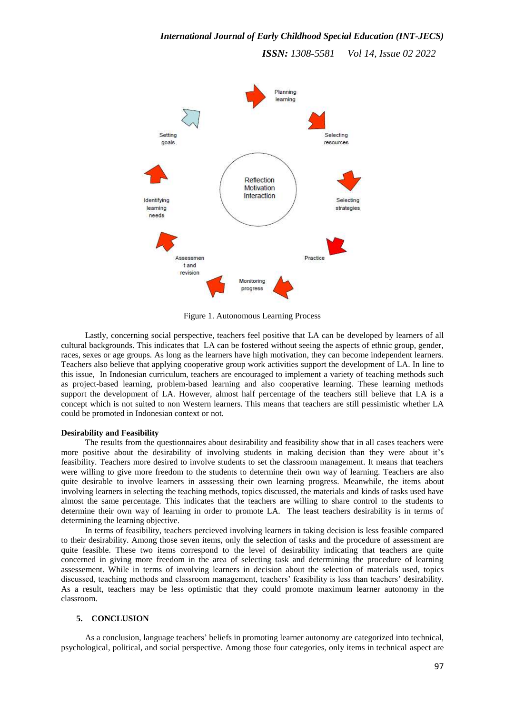

Figure 1. Autonomous Learning Process

Lastly, concerning social perspective, teachers feel positive that LA can be developed by learners of all cultural backgrounds. This indicates that LA can be fostered without seeing the aspects of ethnic group, gender, races, sexes or age groups. As long as the learners have high motivation, they can become independent learners. Teachers also believe that applying cooperative group work activities support the development of LA. In line to this issue, In Indonesian curriculum, teachers are encouraged to implement a variety of teaching methods such as project-based learning, problem-based learning and also cooperative learning. These learning methods support the development of LA. However, almost half percentage of the teachers still believe that LA is a concept which is not suited to non Western learners. This means that teachers are still pessimistic whether LA could be promoted in Indonesian context or not.

## **Desirability and Feasibility**

The results from the questionnaires about desirability and feasibility show that in all cases teachers were more positive about the desirability of involving students in making decision than they were about it's feasibility. Teachers more desired to involve students to set the classroom management. It means that teachers were willing to give more freedom to the students to determine their own way of learning. Teachers are also quite desirable to involve learners in asssessing their own learning progress. Meanwhile, the items about involving learners in selecting the teaching methods, topics discussed, the materials and kinds of tasks used have almost the same percentage. This indicates that the teachers are willing to share control to the students to determine their own way of learning in order to promote LA. The least teachers desirability is in terms of determining the learning objective.

In terms of feasibility, teachers percieved involving learners in taking decision is less feasible compared to their desirability. Among those seven items, only the selection of tasks and the procedure of assessment are quite feasible. These two items correspond to the level of desirability indicating that teachers are quite concerned in giving more freedom in the area of selecting task and determining the procedure of learning assessement. While in terms of involving learners in decision about the selection of materials used, topics discussed, teaching methods and classroom management, teachers' feasibility is less than teachers' desirability. As a result, teachers may be less optimistic that they could promote maximum learner autonomy in the classroom.

#### **5. CONCLUSION**

As a conclusion, language teachers' beliefs in promoting learner autonomy are categorized into technical, psychological, political, and social perspective. Among those four categories, only items in technical aspect are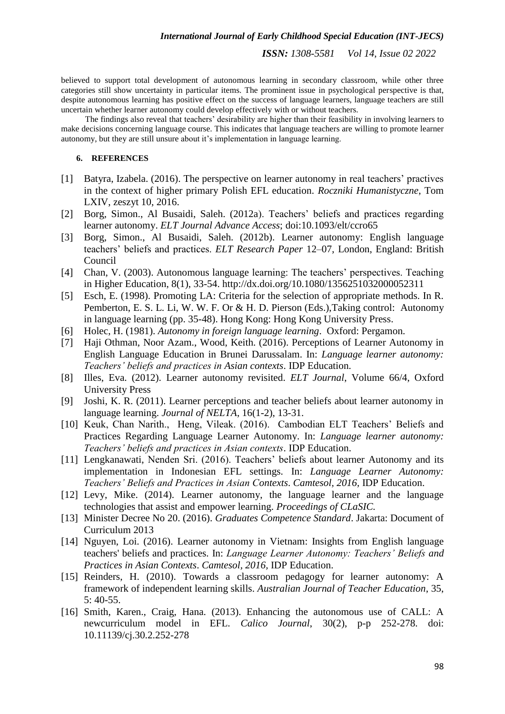believed to support total development of autonomous learning in secondary classroom, while other three categories still show uncertainty in particular items. The prominent issue in psychological perspective is that, despite autonomous learning has positive effect on the success of language learners, language teachers are still uncertain whether learner autonomy could develop effectively with or without teachers.

The findings also reveal that teachers' desirability are higher than their feasibility in involving learners to make decisions concerning language course. This indicates that language teachers are willing to promote learner autonomy, but they are still unsure about it's implementation in language learning.

## **6. REFERENCES**

- [1] Batyra, Izabela. (2016). The perspective on learner autonomy in real teachers' practives in the context of higher primary Polish EFL education. *Roczniki Humanistyczne*, Tom LXIV, zeszyt 10, 2016.
- [2] Borg, Simon., Al Busaidi, Saleh. (2012a). Teachers' beliefs and practices regarding learner autonomy. *ELT Journal Advance Access*; doi:10.1093/elt/ccro65
- [3] Borg, Simon., Al Busaidi, Saleh. (2012b). Learner autonomy: English language teachers' beliefs and practices. *ELT Research Paper* 12–07, London, England: British Council
- [4] Chan, V. (2003). Autonomous language learning: The teachers' perspectives. Teaching in Higher Education, 8(1), 33-54. http://dx.doi.org/10.1080/1356251032000052311
- [5] Esch, E. (1998). Promoting LA: Criteria for the selection of appropriate methods. In R. Pemberton, E. S. L. Li, W. W. F. Or & H. D. Pierson (Eds.),Taking control: Autonomy in language learning (pp. 35-48). Hong Kong: Hong Kong University Press.
- [6] Holec, H. (1981). *Autonomy in foreign language learning*. Oxford: Pergamon.
- [7] Haji Othman, Noor Azam., Wood, Keith. (2016). Perceptions of Learner Autonomy in English Language Education in Brunei Darussalam. In: *Language learner autonomy: Teachers' beliefs and practices in Asian contexts*. IDP Education.
- [8] Illes, Eva. (2012). Learner autonomy revisited. *ELT Journal*, Volume 66/4, Oxford University Press
- [9] Joshi, K. R. (2011). Learner perceptions and teacher beliefs about learner autonomy in language learning. *Journal of NELTA*, 16(1-2), 13-31.
- [10] Keuk, Chan Narith., Heng, Vileak. (2016). Cambodian ELT Teachers' Beliefs and Practices Regarding Language Learner Autonomy. In: *Language learner autonomy: Teachers' beliefs and practices in Asian contexts*. IDP Education.
- [11] Lengkanawati, Nenden Sri. (2016). Teachers' beliefs about learner Autonomy and its implementation in Indonesian EFL settings. In: *Language Learner Autonomy: Teachers' Beliefs and Practices in Asian Contexts*. *Camtesol, 2016,* IDP Education.
- [12] Levy, Mike. (2014). Learner autonomy, the language learner and the language technologies that assist and empower learning. *Proceedings of CLaSIC.*
- [13] Minister Decree No 20. (2016). *Graduates Competence Standard*. Jakarta: Document of Curriculum 2013
- [14] Nguyen, Loi. (2016). Learner autonomy in Vietnam: Insights from English language teachers' beliefs and practices. In: *Language Learner Autonomy: Teachers' Beliefs and Practices in Asian Contexts*. *Camtesol, 2016,* IDP Education.
- [15] Reinders, H. (2010). Towards a classroom pedagogy for learner autonomy: A framework of independent learning skills. *Australian Journal of Teacher Education*, 35, 5: 40-55.
- [16] Smith, Karen., Craig, Hana. (2013). Enhancing the autonomous use of CALL: A newcurriculum model in EFL. *Calico Journal*, 30(2), p-p 252-278. doi: 10.11139/cj.30.2.252-278